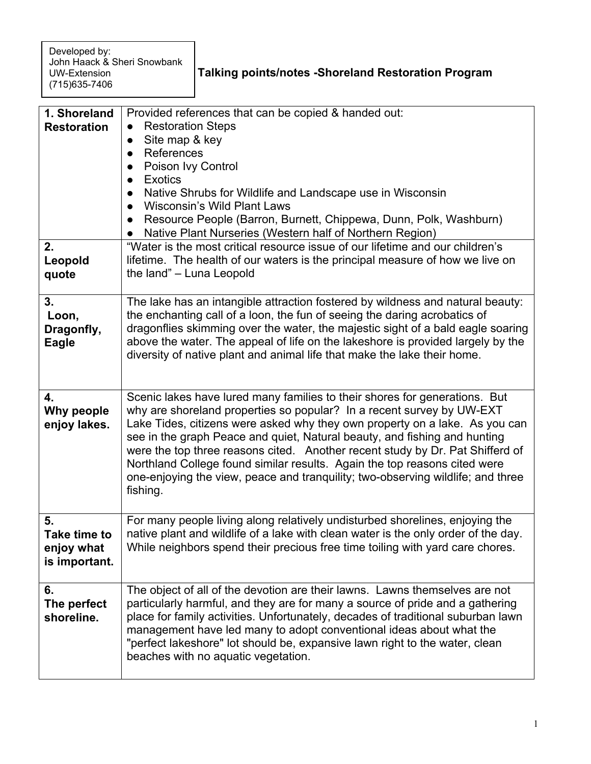| <b>Talking points/notes - Shoreland Restoration Program</b> |  |
|-------------------------------------------------------------|--|
|-------------------------------------------------------------|--|

| 1. Shoreland<br><b>Restoration</b>                       | Provided references that can be copied & handed out:<br><b>Restoration Steps</b><br>Site map & key<br>$\bullet$<br>References<br>$\bullet$<br>Poison Ivy Control<br><b>Exotics</b><br>Native Shrubs for Wildlife and Landscape use in Wisconsin<br><b>Wisconsin's Wild Plant Laws</b><br>Resource People (Barron, Burnett, Chippewa, Dunn, Polk, Washburn)<br>$\bullet$<br>Native Plant Nurseries (Western half of Northern Region)                                                                                                                                          |
|----------------------------------------------------------|------------------------------------------------------------------------------------------------------------------------------------------------------------------------------------------------------------------------------------------------------------------------------------------------------------------------------------------------------------------------------------------------------------------------------------------------------------------------------------------------------------------------------------------------------------------------------|
| 2.<br>Leopold<br>quote                                   | "Water is the most critical resource issue of our lifetime and our children's<br>lifetime. The health of our waters is the principal measure of how we live on<br>the land" - Luna Leopold                                                                                                                                                                                                                                                                                                                                                                                   |
| 3.<br>Loon,<br>Dragonfly,<br>Eagle                       | The lake has an intangible attraction fostered by wildness and natural beauty:<br>the enchanting call of a loon, the fun of seeing the daring acrobatics of<br>dragonflies skimming over the water, the majestic sight of a bald eagle soaring<br>above the water. The appeal of life on the lakeshore is provided largely by the<br>diversity of native plant and animal life that make the lake their home.                                                                                                                                                                |
| 4.<br>Why people<br>enjoy lakes.                         | Scenic lakes have lured many families to their shores for generations. But<br>why are shoreland properties so popular? In a recent survey by UW-EXT<br>Lake Tides, citizens were asked why they own property on a lake. As you can<br>see in the graph Peace and quiet, Natural beauty, and fishing and hunting<br>were the top three reasons cited. Another recent study by Dr. Pat Shifferd of<br>Northland College found similar results. Again the top reasons cited were<br>one-enjoying the view, peace and tranquility; two-observing wildlife; and three<br>fishing. |
| 5.<br><b>Take time to</b><br>enjoy what<br>is important. | For many people living along relatively undisturbed shorelines, enjoying the<br>native plant and wildlife of a lake with clean water is the only order of the day.<br>While neighbors spend their precious free time toiling with yard care chores.                                                                                                                                                                                                                                                                                                                          |
| 6.<br>The perfect<br>shoreline.                          | The object of all of the devotion are their lawns. Lawns themselves are not<br>particularly harmful, and they are for many a source of pride and a gathering<br>place for family activities. Unfortunately, decades of traditional suburban lawn<br>management have led many to adopt conventional ideas about what the<br>"perfect lakeshore" lot should be, expansive lawn right to the water, clean<br>beaches with no aquatic vegetation.                                                                                                                                |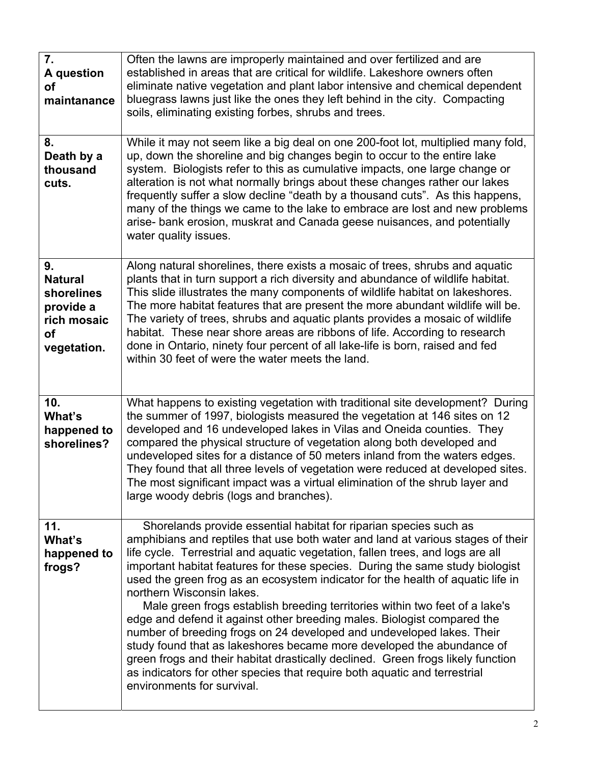| 7.<br>A question<br>οf<br>maintanance<br>8.<br>Death by a<br>thousand<br>cuts.             | Often the lawns are improperly maintained and over fertilized and are<br>established in areas that are critical for wildlife. Lakeshore owners often<br>eliminate native vegetation and plant labor intensive and chemical dependent<br>bluegrass lawns just like the ones they left behind in the city. Compacting<br>soils, eliminating existing forbes, shrubs and trees.<br>While it may not seem like a big deal on one 200-foot lot, multiplied many fold,<br>up, down the shoreline and big changes begin to occur to the entire lake<br>system. Biologists refer to this as cumulative impacts, one large change or<br>alteration is not what normally brings about these changes rather our lakes<br>frequently suffer a slow decline "death by a thousand cuts". As this happens,<br>many of the things we came to the lake to embrace are lost and new problems<br>arise- bank erosion, muskrat and Canada geese nuisances, and potentially<br>water quality issues. |
|--------------------------------------------------------------------------------------------|---------------------------------------------------------------------------------------------------------------------------------------------------------------------------------------------------------------------------------------------------------------------------------------------------------------------------------------------------------------------------------------------------------------------------------------------------------------------------------------------------------------------------------------------------------------------------------------------------------------------------------------------------------------------------------------------------------------------------------------------------------------------------------------------------------------------------------------------------------------------------------------------------------------------------------------------------------------------------------|
| 9.<br><b>Natural</b><br>shorelines<br>provide a<br>rich mosaic<br><b>of</b><br>vegetation. | Along natural shorelines, there exists a mosaic of trees, shrubs and aquatic<br>plants that in turn support a rich diversity and abundance of wildlife habitat.<br>This slide illustrates the many components of wildlife habitat on lakeshores.<br>The more habitat features that are present the more abundant wildlife will be.<br>The variety of trees, shrubs and aquatic plants provides a mosaic of wildlife<br>habitat. These near shore areas are ribbons of life. According to research<br>done in Ontario, ninety four percent of all lake-life is born, raised and fed<br>within 30 feet of were the water meets the land.                                                                                                                                                                                                                                                                                                                                          |
| 10.<br>What's<br>happened to<br>shorelines?                                                | What happens to existing vegetation with traditional site development? During<br>the summer of 1997, biologists measured the vegetation at 146 sites on 12<br>developed and 16 undeveloped lakes in Vilas and Oneida counties. They<br>compared the physical structure of vegetation along both developed and<br>undeveloped sites for a distance of 50 meters inland from the waters edges.<br>They found that all three levels of vegetation were reduced at developed sites.<br>The most significant impact was a virtual elimination of the shrub layer and<br>large woody debris (logs and branches).                                                                                                                                                                                                                                                                                                                                                                      |
| 11.<br>What's<br>happened to<br>frogs?                                                     | Shorelands provide essential habitat for riparian species such as<br>amphibians and reptiles that use both water and land at various stages of their<br>life cycle. Terrestrial and aquatic vegetation, fallen trees, and logs are all<br>important habitat features for these species. During the same study biologist<br>used the green frog as an ecosystem indicator for the health of aquatic life in<br>northern Wisconsin lakes.<br>Male green frogs establish breeding territories within two feet of a lake's<br>edge and defend it against other breeding males. Biologist compared the<br>number of breeding frogs on 24 developed and undeveloped lakes. Their<br>study found that as lakeshores became more developed the abundance of<br>green frogs and their habitat drastically declined. Green frogs likely function<br>as indicators for other species that require both aquatic and terrestrial<br>environments for survival.                               |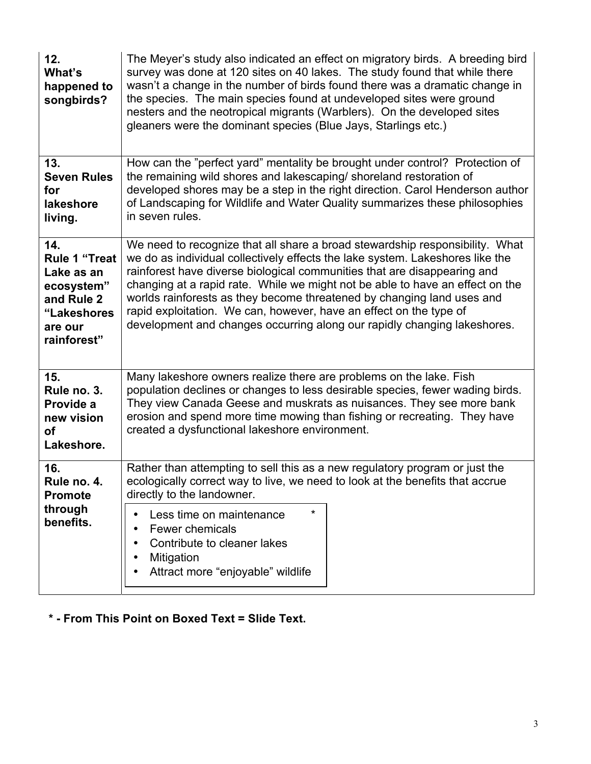| 12.<br>What's<br>happened to<br>songbirds?                                                                     | The Meyer's study also indicated an effect on migratory birds. A breeding bird<br>survey was done at 120 sites on 40 lakes. The study found that while there<br>wasn't a change in the number of birds found there was a dramatic change in<br>the species. The main species found at undeveloped sites were ground<br>nesters and the neotropical migrants (Warblers). On the developed sites<br>gleaners were the dominant species (Blue Jays, Starlings etc.)                                                                                       |
|----------------------------------------------------------------------------------------------------------------|--------------------------------------------------------------------------------------------------------------------------------------------------------------------------------------------------------------------------------------------------------------------------------------------------------------------------------------------------------------------------------------------------------------------------------------------------------------------------------------------------------------------------------------------------------|
| 13.<br><b>Seven Rules</b><br>for<br>lakeshore<br>living.                                                       | How can the "perfect yard" mentality be brought under control? Protection of<br>the remaining wild shores and lakescaping/ shoreland restoration of<br>developed shores may be a step in the right direction. Carol Henderson author<br>of Landscaping for Wildlife and Water Quality summarizes these philosophies<br>in seven rules.                                                                                                                                                                                                                 |
| 14.<br><b>Rule 1 "Treat</b><br>Lake as an<br>ecosystem"<br>and Rule 2<br>"Lakeshores<br>are our<br>rainforest" | We need to recognize that all share a broad stewardship responsibility. What<br>we do as individual collectively effects the lake system. Lakeshores like the<br>rainforest have diverse biological communities that are disappearing and<br>changing at a rapid rate. While we might not be able to have an effect on the<br>worlds rainforests as they become threatened by changing land uses and<br>rapid exploitation. We can, however, have an effect on the type of<br>development and changes occurring along our rapidly changing lakeshores. |
| 15.<br>Rule no. 3.<br>Provide a<br>new vision<br><b>of</b><br>Lakeshore.                                       | Many lakeshore owners realize there are problems on the lake. Fish<br>population declines or changes to less desirable species, fewer wading birds.<br>They view Canada Geese and muskrats as nuisances. They see more bank<br>erosion and spend more time mowing than fishing or recreating. They have<br>created a dysfunctional lakeshore environment.                                                                                                                                                                                              |
| 16.<br>Rule no. 4<br><b>Promote</b><br>through<br>benefits.                                                    | Rather than attempting to sell this as a new regulatory program or just the<br>ecologically correct way to live, we need to look at the benefits that accrue<br>directly to the landowner.<br>*<br>Less time on maintenance<br>$\bullet$<br><b>Fewer chemicals</b><br>Contribute to cleaner lakes<br>Mitigation<br>Attract more "enjoyable" wildlife                                                                                                                                                                                                   |

## **\* - From This Point on Boxed Text = Slide Text.**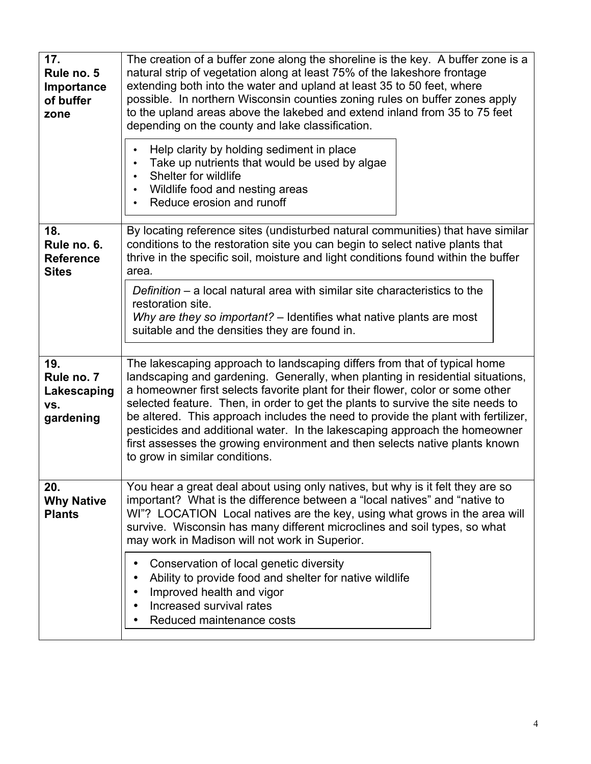| 17.<br>Rule no. 5<br>Importance<br>of buffer<br>zone   | The creation of a buffer zone along the shoreline is the key. A buffer zone is a<br>natural strip of vegetation along at least 75% of the lakeshore frontage<br>extending both into the water and upland at least 35 to 50 feet, where<br>possible. In northern Wisconsin counties zoning rules on buffer zones apply<br>to the upland areas above the lakebed and extend inland from 35 to 75 feet<br>depending on the county and lake classification.<br>Help clarity by holding sediment in place<br>$\bullet$<br>Take up nutrients that would be used by algae<br>$\bullet$<br>Shelter for wildlife<br>$\bullet$<br>Wildlife food and nesting areas<br>Reduce erosion and runoff |
|--------------------------------------------------------|--------------------------------------------------------------------------------------------------------------------------------------------------------------------------------------------------------------------------------------------------------------------------------------------------------------------------------------------------------------------------------------------------------------------------------------------------------------------------------------------------------------------------------------------------------------------------------------------------------------------------------------------------------------------------------------|
| 18.<br>Rule no. 6.<br><b>Reference</b><br><b>Sites</b> | $\bullet$<br>By locating reference sites (undisturbed natural communities) that have similar<br>conditions to the restoration site you can begin to select native plants that<br>thrive in the specific soil, moisture and light conditions found within the buffer<br>area.<br>Definition $-$ a local natural area with similar site characteristics to the<br>restoration site.<br>Why are they so important? – Identifies what native plants are most<br>suitable and the densities they are found in.                                                                                                                                                                            |
| 19.<br>Rule no. 7<br>Lakescaping<br>VS.<br>gardening   | The lakescaping approach to landscaping differs from that of typical home<br>landscaping and gardening. Generally, when planting in residential situations,<br>a homeowner first selects favorite plant for their flower, color or some other<br>selected feature. Then, in order to get the plants to survive the site needs to<br>be altered. This approach includes the need to provide the plant with fertilizer,<br>pesticides and additional water. In the lakescaping approach the homeowner<br>first assesses the growing environment and then selects native plants known<br>to grow in similar conditions.                                                                 |
| 20.<br><b>Why Native</b><br><b>Plants</b>              | You hear a great deal about using only natives, but why is it felt they are so<br>important? What is the difference between a "local natives" and "native to<br>WI"? LOCATION Local natives are the key, using what grows in the area will<br>survive. Wisconsin has many different microclines and soil types, so what<br>may work in Madison will not work in Superior.<br>Conservation of local genetic diversity<br>٠<br>Ability to provide food and shelter for native wildlife<br>$\bullet$<br>Improved health and vigor<br>Increased survival rates<br>Reduced maintenance costs                                                                                              |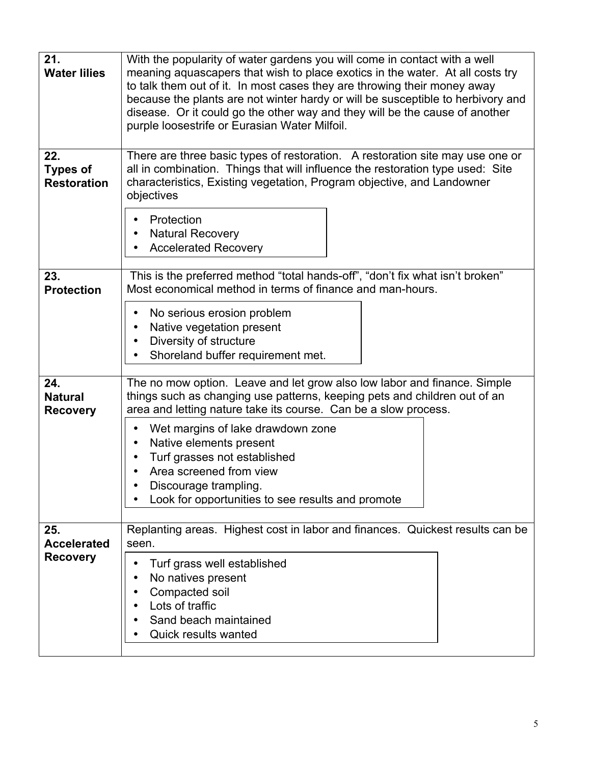| 21.<br><b>Water lilies</b>                   | With the popularity of water gardens you will come in contact with a well<br>meaning aquascapers that wish to place exotics in the water. At all costs try<br>to talk them out of it. In most cases they are throwing their money away<br>because the plants are not winter hardy or will be susceptible to herbivory and<br>disease. Or it could go the other way and they will be the cause of another<br>purple loosestrife or Eurasian Water Milfoil. |
|----------------------------------------------|-----------------------------------------------------------------------------------------------------------------------------------------------------------------------------------------------------------------------------------------------------------------------------------------------------------------------------------------------------------------------------------------------------------------------------------------------------------|
| 22.<br><b>Types of</b><br><b>Restoration</b> | There are three basic types of restoration. A restoration site may use one or<br>all in combination. Things that will influence the restoration type used: Site<br>characteristics, Existing vegetation, Program objective, and Landowner<br>objectives<br>Protection<br><b>Natural Recovery</b><br><b>Accelerated Recovery</b>                                                                                                                           |
| 23.<br><b>Protection</b>                     | This is the preferred method "total hands-off", "don't fix what isn't broken"<br>Most economical method in terms of finance and man-hours.<br>No serious erosion problem<br>Native vegetation present<br>Diversity of structure<br>Shoreland buffer requirement met.                                                                                                                                                                                      |
| 24.<br><b>Natural</b><br><b>Recovery</b>     | The no mow option. Leave and let grow also low labor and finance. Simple<br>things such as changing use patterns, keeping pets and children out of an<br>area and letting nature take its course. Can be a slow process.<br>Wet margins of lake drawdown zone<br>Native elements present<br>Turf grasses not established<br>Area screened from view<br>Discourage trampling.<br>Look for opportunities to see results and promote                         |
| 25.<br><b>Accelerated</b><br><b>Recovery</b> | Replanting areas. Highest cost in labor and finances. Quickest results can be<br>seen.<br>Turf grass well established<br>No natives present<br>Compacted soil<br>Lots of traffic<br>Sand beach maintained<br><b>Quick results wanted</b>                                                                                                                                                                                                                  |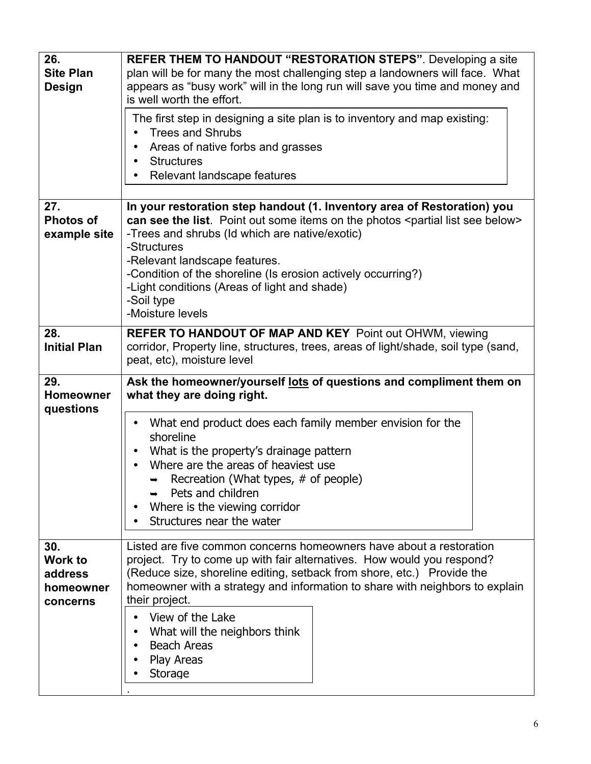| 26.<br><b>Site Plan</b><br><b>Design</b> | <b>REFER THEM TO HANDOUT "RESTORATION STEPS".</b> Developing a site<br>plan will be for many the most challenging step a landowners will face. What<br>appears as "busy work" will in the long run will save you time and money and<br>is well worth the effort.<br>The first step in designing a site plan is to inventory and map existing:<br><b>Trees and Shrubs</b><br>$\bullet$<br>Areas of native forbs and grasses<br><b>Structures</b><br>$\bullet$<br>Relevant landscape features |
|------------------------------------------|---------------------------------------------------------------------------------------------------------------------------------------------------------------------------------------------------------------------------------------------------------------------------------------------------------------------------------------------------------------------------------------------------------------------------------------------------------------------------------------------|
| 27.<br><b>Photos of</b><br>example site  | In your restoration step handout (1. Inventory area of Restoration) you<br>can see the list. Point out some items on the photos <partial below="" list="" see=""><br/>-Trees and shrubs (Id which are native/exotic)<br/>-Structures<br/>-Relevant landscape features.<br/>-Condition of the shoreline (Is erosion actively occurring?)<br/>-Light conditions (Areas of light and shade)<br/>-Soil type<br/>-Moisture levels</partial>                                                      |
| 28.<br><b>Initial Plan</b>               | <b>REFER TO HANDOUT OF MAP AND KEY</b> Point out OHWM, viewing<br>corridor, Property line, structures, trees, areas of light/shade, soil type (sand,<br>peat, etc), moisture level                                                                                                                                                                                                                                                                                                          |
| 29.<br><b>Homeowner</b><br>questions     | Ask the homeowner/yourself lots of questions and compliment them on<br>what they are doing right.                                                                                                                                                                                                                                                                                                                                                                                           |
|                                          | What end product does each family member envision for the<br>$\bullet$<br>shoreline<br>What is the property's drainage pattern<br>$\bullet$<br>Where are the areas of heaviest use<br>$\bullet$<br>Recreation (What types, # of people)<br>$\rightarrow$<br>Pets and children<br>Where is the viewing corridor<br>Structures near the water                                                                                                                                                 |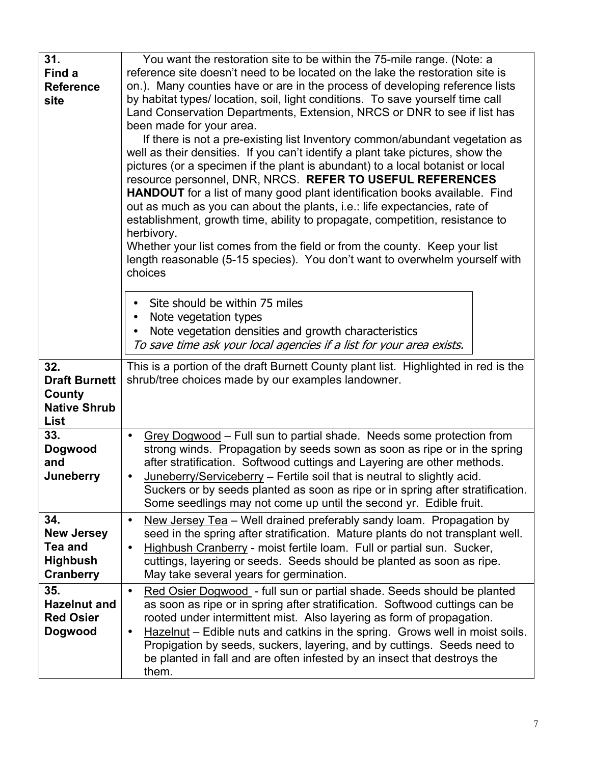| 31.                  | You want the restoration site to be within the 75-mile range. (Note: a                                                                                           |
|----------------------|------------------------------------------------------------------------------------------------------------------------------------------------------------------|
| Find a               | reference site doesn't need to be located on the lake the restoration site is                                                                                    |
| <b>Reference</b>     | on.). Many counties have or are in the process of developing reference lists                                                                                     |
| site                 | by habitat types/ location, soil, light conditions. To save yourself time call                                                                                   |
|                      | Land Conservation Departments, Extension, NRCS or DNR to see if list has                                                                                         |
|                      | been made for your area.                                                                                                                                         |
|                      | If there is not a pre-existing list Inventory common/abundant vegetation as                                                                                      |
|                      | well as their densities. If you can't identify a plant take pictures, show the<br>pictures (or a specimen if the plant is abundant) to a local botanist or local |
|                      | resource personnel, DNR, NRCS. REFER TO USEFUL REFERENCES                                                                                                        |
|                      | <b>HANDOUT</b> for a list of many good plant identification books available. Find                                                                                |
|                      | out as much as you can about the plants, i.e.: life expectancies, rate of                                                                                        |
|                      | establishment, growth time, ability to propagate, competition, resistance to                                                                                     |
|                      | herbivory.                                                                                                                                                       |
|                      | Whether your list comes from the field or from the county. Keep your list                                                                                        |
|                      | length reasonable (5-15 species). You don't want to overwhelm yourself with                                                                                      |
|                      | choices                                                                                                                                                          |
|                      | Site should be within 75 miles                                                                                                                                   |
|                      | Note vegetation types                                                                                                                                            |
|                      | Note vegetation densities and growth characteristics                                                                                                             |
|                      | To save time ask your local agencies if a list for your area exists.                                                                                             |
| 32.                  | This is a portion of the draft Burnett County plant list. Highlighted in red is the                                                                              |
| <b>Draft Burnett</b> | shrub/tree choices made by our examples landowner.                                                                                                               |
| County               |                                                                                                                                                                  |
| <b>Native Shrub</b>  |                                                                                                                                                                  |
| List                 |                                                                                                                                                                  |
| 33.                  | Grey Dogwood – Full sun to partial shade. Needs some protection from<br>$\bullet$                                                                                |
| <b>Dogwood</b>       | strong winds. Propagation by seeds sown as soon as ripe or in the spring                                                                                         |
| and                  | after stratification. Softwood cuttings and Layering are other methods.                                                                                          |
| Juneberry            | Juneberry/Serviceberry - Fertile soil that is neutral to slightly acid.<br>$\bullet$                                                                             |
|                      | Suckers or by seeds planted as soon as ripe or in spring after stratification.<br>Some seedlings may not come up until the second yr. Edible fruit.              |
| 34.                  | New Jersey Tea - Well drained preferably sandy loam. Propagation by                                                                                              |
| <b>New Jersey</b>    | $\bullet$<br>seed in the spring after stratification. Mature plants do not transplant well.                                                                      |
| Tea and              | Highbush Cranberry - moist fertile loam. Full or partial sun. Sucker,<br>$\bullet$                                                                               |
| <b>Highbush</b>      | cuttings, layering or seeds. Seeds should be planted as soon as ripe.                                                                                            |
| Cranberry            | May take several years for germination.                                                                                                                          |
| 35.                  | Red Osier Dogwood - full sun or partial shade. Seeds should be planted<br>$\bullet$                                                                              |
| <b>Hazelnut and</b>  | as soon as ripe or in spring after stratification. Softwood cuttings can be                                                                                      |
| <b>Red Osier</b>     | rooted under intermittent mist. Also layering as form of propagation.                                                                                            |
| Dogwood              | Hazelnut – Edible nuts and catkins in the spring. Grows well in moist soils.<br>$\bullet$                                                                        |
|                      | Propigation by seeds, suckers, layering, and by cuttings. Seeds need to                                                                                          |
|                      | be planted in fall and are often infested by an insect that destroys the                                                                                         |
|                      | them.                                                                                                                                                            |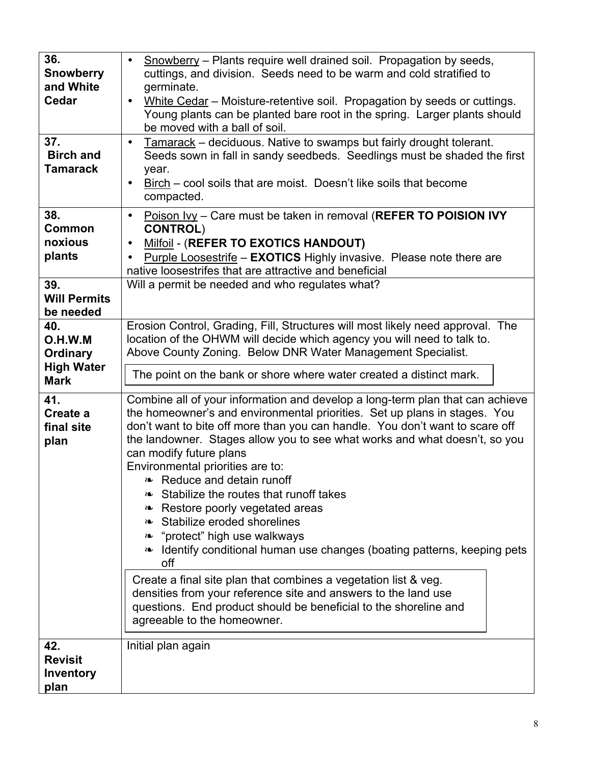| 36.<br>Snowberry                                  | Snowberry – Plants require well drained soil. Propagation by seeds,<br>$\bullet$<br>cuttings, and division. Seeds need to be warm and cold stratified to                                                                                                                                                                                                                                                                                                                                                                                                                                                                                                                                                                                                                                                                                                                                                                             |
|---------------------------------------------------|--------------------------------------------------------------------------------------------------------------------------------------------------------------------------------------------------------------------------------------------------------------------------------------------------------------------------------------------------------------------------------------------------------------------------------------------------------------------------------------------------------------------------------------------------------------------------------------------------------------------------------------------------------------------------------------------------------------------------------------------------------------------------------------------------------------------------------------------------------------------------------------------------------------------------------------|
| and White<br>Cedar                                | germinate.<br>White Cedar - Moisture-retentive soil. Propagation by seeds or cuttings.<br>$\bullet$<br>Young plants can be planted bare root in the spring. Larger plants should<br>be moved with a ball of soil.                                                                                                                                                                                                                                                                                                                                                                                                                                                                                                                                                                                                                                                                                                                    |
| 37.<br><b>Birch and</b><br><b>Tamarack</b>        | Tamarack - deciduous. Native to swamps but fairly drought tolerant.<br>$\bullet$<br>Seeds sown in fall in sandy seedbeds. Seedlings must be shaded the first<br>year.<br>Birch – cool soils that are moist. Doesn't like soils that become<br>$\bullet$<br>compacted.                                                                                                                                                                                                                                                                                                                                                                                                                                                                                                                                                                                                                                                                |
| 38.<br>Common<br>noxious<br>plants                | Poison Ivy - Care must be taken in removal (REFER TO POISION IVY<br>$\bullet$<br><b>CONTROL)</b><br>Milfoil - (REFER TO EXOTICS HANDOUT)<br>$\bullet$<br>Purple Loosestrife - EXOTICS Highly invasive. Please note there are<br>native loosestrifes that are attractive and beneficial                                                                                                                                                                                                                                                                                                                                                                                                                                                                                                                                                                                                                                               |
| 39.<br><b>Will Permits</b><br>be needed           | Will a permit be needed and who regulates what?                                                                                                                                                                                                                                                                                                                                                                                                                                                                                                                                                                                                                                                                                                                                                                                                                                                                                      |
| 40.<br>O.H.W.M<br><b>Ordinary</b>                 | Erosion Control, Grading, Fill, Structures will most likely need approval. The<br>location of the OHWM will decide which agency you will need to talk to.<br>Above County Zoning. Below DNR Water Management Specialist.                                                                                                                                                                                                                                                                                                                                                                                                                                                                                                                                                                                                                                                                                                             |
| <b>High Water</b><br><b>Mark</b>                  | The point on the bank or shore where water created a distinct mark.                                                                                                                                                                                                                                                                                                                                                                                                                                                                                                                                                                                                                                                                                                                                                                                                                                                                  |
| 41.<br>Create a<br>final site<br>plan             | Combine all of your information and develop a long-term plan that can achieve<br>the homeowner's and environmental priorities. Set up plans in stages. You<br>don't want to bite off more than you can handle. You don't want to scare off<br>the landowner. Stages allow you to see what works and what doesn't, so you<br>can modify future plans<br>Environmental priorities are to:<br><b>Example 23</b> Reduce and detain runoff<br>Stabilize the routes that runoff takes<br>SO.<br>Restore poorly vegetated areas<br>SO.<br>Stabilize eroded shorelines<br>"protect" high use walkways<br>SO.<br>Identify conditional human use changes (boating patterns, keeping pets<br>SO.<br>off<br>Create a final site plan that combines a vegetation list & veg.<br>densities from your reference site and answers to the land use<br>questions. End product should be beneficial to the shoreline and<br>agreeable to the homeowner. |
| 42.<br><b>Revisit</b><br><b>Inventory</b><br>plan | Initial plan again                                                                                                                                                                                                                                                                                                                                                                                                                                                                                                                                                                                                                                                                                                                                                                                                                                                                                                                   |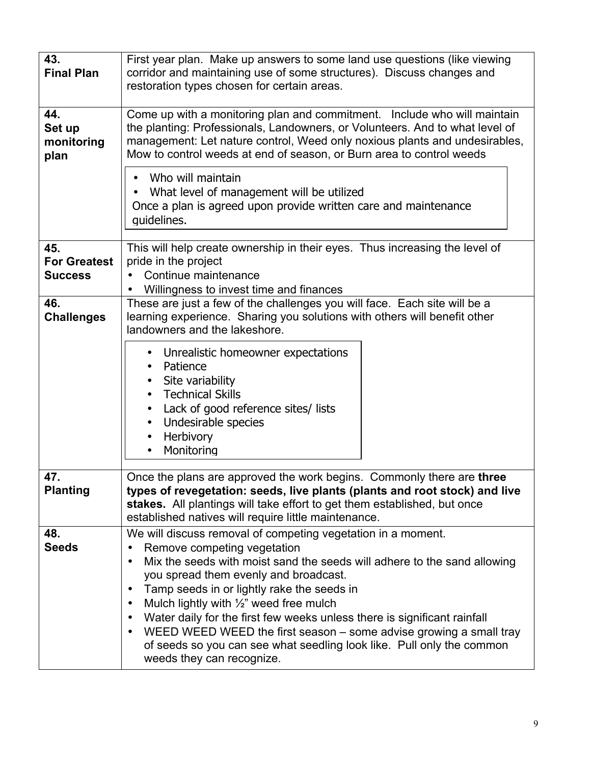| 43.<br><b>Final Plan</b>                     | First year plan. Make up answers to some land use questions (like viewing<br>corridor and maintaining use of some structures). Discuss changes and<br>restoration types chosen for certain areas.                                                                                                                                                                                                                                                                                                                                                                                                                                                          |  |
|----------------------------------------------|------------------------------------------------------------------------------------------------------------------------------------------------------------------------------------------------------------------------------------------------------------------------------------------------------------------------------------------------------------------------------------------------------------------------------------------------------------------------------------------------------------------------------------------------------------------------------------------------------------------------------------------------------------|--|
| 44.<br>Set up<br>monitoring<br>plan          | Come up with a monitoring plan and commitment. Include who will maintain<br>the planting: Professionals, Landowners, or Volunteers. And to what level of<br>management: Let nature control, Weed only noxious plants and undesirables,<br>Mow to control weeds at end of season, or Burn area to control weeds                                                                                                                                                                                                                                                                                                                                             |  |
|                                              | Who will maintain<br>What level of management will be utilized<br>$\bullet$<br>Once a plan is agreed upon provide written care and maintenance<br>quidelines.                                                                                                                                                                                                                                                                                                                                                                                                                                                                                              |  |
| 45.<br><b>For Greatest</b><br><b>Success</b> | This will help create ownership in their eyes. Thus increasing the level of<br>pride in the project<br>Continue maintenance<br>Willingness to invest time and finances<br>$\bullet$                                                                                                                                                                                                                                                                                                                                                                                                                                                                        |  |
| 46.<br><b>Challenges</b>                     | These are just a few of the challenges you will face. Each site will be a<br>learning experience. Sharing you solutions with others will benefit other<br>landowners and the lakeshore.<br>Unrealistic homeowner expectations<br>$\bullet$<br>Patience<br>Site variability<br><b>Technical Skills</b><br>$\bullet$<br>Lack of good reference sites/ lists<br>$\bullet$<br>Undesirable species<br>$\bullet$<br>Herbivory<br>$\bullet$<br>Monitoring<br>$\bullet$                                                                                                                                                                                            |  |
| 47.<br><b>Planting</b>                       | Once the plans are approved the work begins. Commonly there are three<br>types of revegetation: seeds, live plants (plants and root stock) and live<br>stakes. All plantings will take effort to get them established, but once<br>established natives will require little maintenance.                                                                                                                                                                                                                                                                                                                                                                    |  |
| 48.<br><b>Seeds</b>                          | We will discuss removal of competing vegetation in a moment.<br>Remove competing vegetation<br>$\bullet$<br>Mix the seeds with moist sand the seeds will adhere to the sand allowing<br>$\bullet$<br>you spread them evenly and broadcast.<br>Tamp seeds in or lightly rake the seeds in<br>$\bullet$<br>Mulch lightly with $\frac{1}{2}$ " weed free mulch<br>$\bullet$<br>Water daily for the first few weeks unless there is significant rainfall<br>$\bullet$<br>WEED WEED WEED the first season – some advise growing a small tray<br>$\bullet$<br>of seeds so you can see what seedling look like. Pull only the common<br>weeds they can recognize. |  |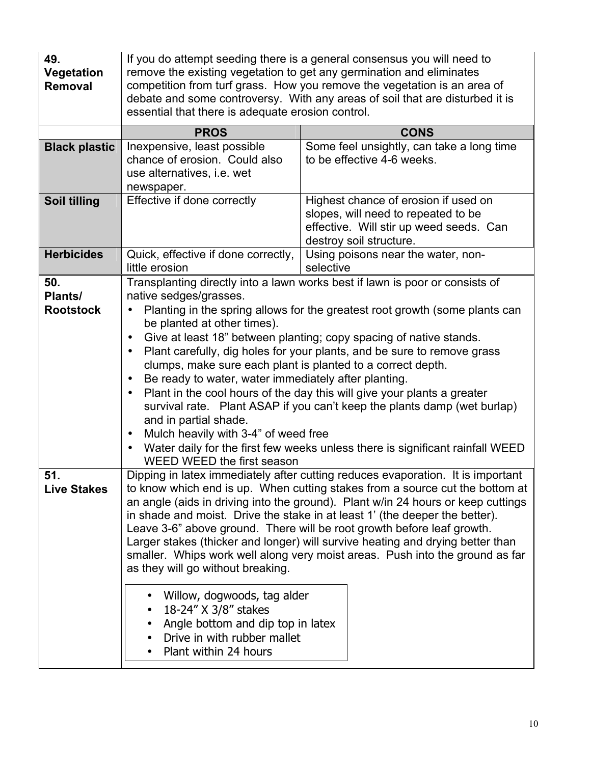| 49.<br>Vegetation<br>Removal       | essential that there is adequate erosion control.                                                                                                                                                                                                                                                                                                                                                                                                                                                                                                                                                                                                                                                                                                                       | If you do attempt seeding there is a general consensus you will need to<br>remove the existing vegetation to get any germination and eliminates<br>competition from turf grass. How you remove the vegetation is an area of<br>debate and some controversy. With any areas of soil that are disturbed it is                                                                                                                                                                                                                                          |
|------------------------------------|-------------------------------------------------------------------------------------------------------------------------------------------------------------------------------------------------------------------------------------------------------------------------------------------------------------------------------------------------------------------------------------------------------------------------------------------------------------------------------------------------------------------------------------------------------------------------------------------------------------------------------------------------------------------------------------------------------------------------------------------------------------------------|------------------------------------------------------------------------------------------------------------------------------------------------------------------------------------------------------------------------------------------------------------------------------------------------------------------------------------------------------------------------------------------------------------------------------------------------------------------------------------------------------------------------------------------------------|
|                                    | <b>PROS</b>                                                                                                                                                                                                                                                                                                                                                                                                                                                                                                                                                                                                                                                                                                                                                             | <b>CONS</b>                                                                                                                                                                                                                                                                                                                                                                                                                                                                                                                                          |
| <b>Black plastic</b>               | Inexpensive, least possible<br>chance of erosion. Could also<br>use alternatives, i.e. wet<br>newspaper.                                                                                                                                                                                                                                                                                                                                                                                                                                                                                                                                                                                                                                                                | Some feel unsightly, can take a long time<br>to be effective 4-6 weeks.                                                                                                                                                                                                                                                                                                                                                                                                                                                                              |
| Soil tilling                       | Effective if done correctly                                                                                                                                                                                                                                                                                                                                                                                                                                                                                                                                                                                                                                                                                                                                             | Highest chance of erosion if used on<br>slopes, will need to repeated to be<br>effective. Will stir up weed seeds. Can<br>destroy soil structure.                                                                                                                                                                                                                                                                                                                                                                                                    |
| <b>Herbicides</b>                  | Quick, effective if done correctly,<br>little erosion                                                                                                                                                                                                                                                                                                                                                                                                                                                                                                                                                                                                                                                                                                                   | Using poisons near the water, non-<br>selective                                                                                                                                                                                                                                                                                                                                                                                                                                                                                                      |
| 50.<br>Plants/<br><b>Rootstock</b> | native sedges/grasses.<br>be planted at other times).<br>$\bullet$<br>$\bullet$<br>clumps, make sure each plant is planted to a correct depth.<br>Be ready to water, water immediately after planting.<br>$\bullet$<br>$\bullet$<br>and in partial shade.<br>Mulch heavily with 3-4" of weed free<br>$\bullet$<br>WEED WEED the first season                                                                                                                                                                                                                                                                                                                                                                                                                            | Transplanting directly into a lawn works best if lawn is poor or consists of<br>Planting in the spring allows for the greatest root growth (some plants can<br>Give at least 18" between planting; copy spacing of native stands.<br>Plant carefully, dig holes for your plants, and be sure to remove grass<br>Plant in the cool hours of the day this will give your plants a greater<br>survival rate. Plant ASAP if you can't keep the plants damp (wet burlap)<br>Water daily for the first few weeks unless there is significant rainfall WEED |
| 51.<br><b>Live Stakes</b>          | Dipping in latex immediately after cutting reduces evaporation. It is important<br>to know which end is up. When cutting stakes from a source cut the bottom at<br>an angle (aids in driving into the ground). Plant w/in 24 hours or keep cuttings<br>in shade and moist. Drive the stake in at least 1' (the deeper the better).<br>Leave 3-6" above ground. There will be root growth before leaf growth.<br>Larger stakes (thicker and longer) will survive heating and drying better than<br>smaller. Whips work well along very moist areas. Push into the ground as far<br>as they will go without breaking.<br>Willow, dogwoods, tag alder<br>18-24" X 3/8" stakes<br>Angle bottom and dip top in latex<br>Drive in with rubber mallet<br>Plant within 24 hours |                                                                                                                                                                                                                                                                                                                                                                                                                                                                                                                                                      |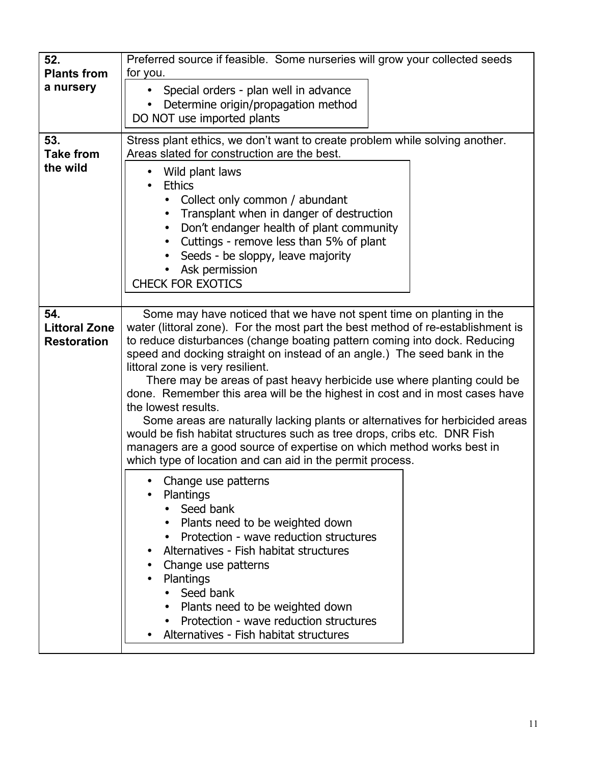| Preferred source if feasible. Some nurseries will grow your collected seeds<br>52.<br><b>Plants from</b><br>for you.<br>a nursery |                                                                                                                                                                                                                                                                                                                                                                                                                                                                                                                                                                                                                                                                                                                                                                                                                                        |  |
|-----------------------------------------------------------------------------------------------------------------------------------|----------------------------------------------------------------------------------------------------------------------------------------------------------------------------------------------------------------------------------------------------------------------------------------------------------------------------------------------------------------------------------------------------------------------------------------------------------------------------------------------------------------------------------------------------------------------------------------------------------------------------------------------------------------------------------------------------------------------------------------------------------------------------------------------------------------------------------------|--|
|                                                                                                                                   | Special orders - plan well in advance<br>Determine origin/propagation method<br>DO NOT use imported plants                                                                                                                                                                                                                                                                                                                                                                                                                                                                                                                                                                                                                                                                                                                             |  |
| 53.<br><b>Take from</b><br>the wild                                                                                               | Stress plant ethics, we don't want to create problem while solving another.<br>Areas slated for construction are the best.                                                                                                                                                                                                                                                                                                                                                                                                                                                                                                                                                                                                                                                                                                             |  |
|                                                                                                                                   | Wild plant laws<br>$\bullet$<br><b>Ethics</b><br>Collect only common / abundant<br>Transplant when in danger of destruction<br>$\bullet$<br>Don't endanger health of plant community<br>Cuttings - remove less than 5% of plant<br>Seeds - be sloppy, leave majority<br>Ask permission<br><b>CHECK FOR EXOTICS</b>                                                                                                                                                                                                                                                                                                                                                                                                                                                                                                                     |  |
| 54.<br><b>Littoral Zone</b><br><b>Restoration</b>                                                                                 | Some may have noticed that we have not spent time on planting in the<br>water (littoral zone). For the most part the best method of re-establishment is<br>to reduce disturbances (change boating pattern coming into dock. Reducing<br>speed and docking straight on instead of an angle.) The seed bank in the<br>littoral zone is very resilient.<br>There may be areas of past heavy herbicide use where planting could be<br>done. Remember this area will be the highest in cost and in most cases have<br>the lowest results.<br>Some areas are naturally lacking plants or alternatives for herbicided areas<br>would be fish habitat structures such as tree drops, cribs etc. DNR Fish<br>managers are a good source of expertise on which method works best in<br>which type of location and can aid in the permit process. |  |
|                                                                                                                                   | Change use patterns<br>Plantings<br>Seed bank<br>Plants need to be weighted down<br>Protection - wave reduction structures<br>Alternatives - Fish habitat structures<br>Change use patterns<br><b>Plantings</b><br>Seed bank<br>Plants need to be weighted down<br>Protection - wave reduction structures<br>Alternatives - Fish habitat structures                                                                                                                                                                                                                                                                                                                                                                                                                                                                                    |  |